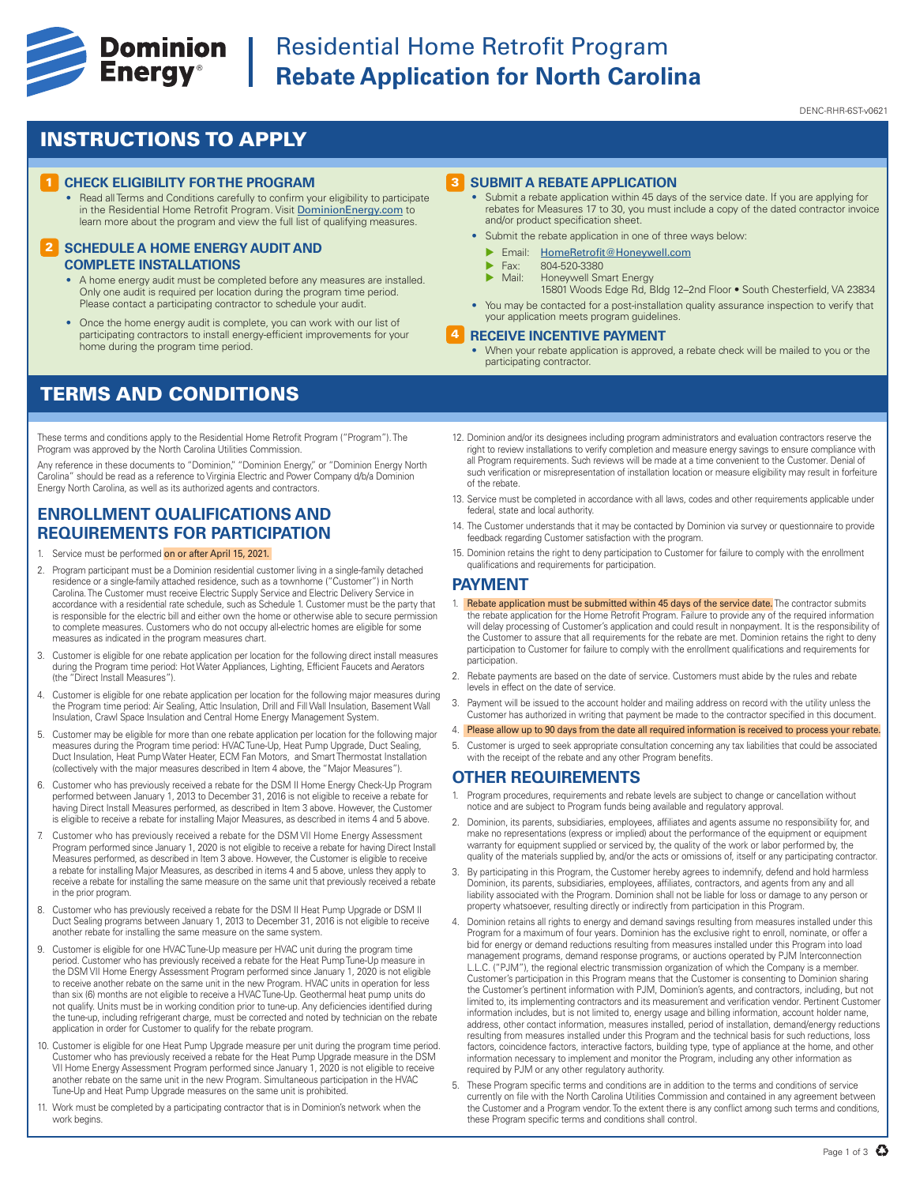

# **Experience Cominion** Residential Home Retrofit Program<br> **Energy**<sup>®</sup> Rebate Application for North Caroli **Rebate Application for North Carolina**

#### DENC-RHR-6ST-v0621

## INSTRUCTIONS TO APPLY

#### **1 CHECK ELIGIBILITY FOR THE PROGRAM**

• Read all Terms and Conditions carefully to confirm your eligibility to participate in the Residential Home Retrofit Program. Visit DominionEnergy.com to learn more about the program and view the full list of qualifying measures.

#### **2 SCHEDULE A HOME ENERGY AUDIT AND COMPLETE INSTALLATIONS**

- A home energy audit must be completed before any measures are installed. Only one audit is required per location during the program time period. Please contact a participating contractor to schedule your audit
- Once the home energy audit is complete, you can work with our list of participating contractors to install energy-efficient improvements for your home during the program time period.

## TERMS AND CONDITIONS

These terms and conditions apply to the Residential Home Retrofit Program ("Program"). The Program was approved by the North Carolina Utilities Commission.

Any reference in these documents to "Dominion," "Dominion Energy," or "Dominion Energy North Carolina" should be read as a reference to Virginia Electric and Power Company d/b/a Dominion Energy North Carolina, as well as its authorized agents and contractors.

### **ENROLLMENT QUALIFICATIONS AND REQUIREMENTS FOR PARTICIPATION**

- 1. Service must be performed on or after April 15, 2021.
- 2. Program participant must be a Dominion residential customer living in a single-family detached residence or a single-family attached residence, such as a townhome ("Customer") in North Carolina. The Customer must receive Electric Supply Service and Electric Delivery Service in accordance with a residential rate schedule, such as Schedule 1. Customer must be the party that is responsible for the electric bill and either own the home or otherwise able to secure permission to complete measures. Customers who do not occupy all-electric homes are eligible for some measures as indicated in the program measures chart.
- 3. Customer is eligible for one rebate application per location for the following direct install measures during the Program time period: Hot Water Appliances, Lighting, Efficient Faucets and Aerators (the "Direct Install Measures").
- 4. Customer is eligible for one rebate application per location for the following major measures during the Program time period: Air Sealing, Attic Insulation, Drill and Fill Wall Insulation, Basement Wall Insulation, Crawl Space Insulation and Central Home Energy Management System.
- 5. Customer may be eligible for more than one rebate application per location for the following major measures during the Program time period: HVAC Tune-Up, Heat Pump Upgrade, Duct Sealing, Duct Insulation, Heat Pump Water Heater, ECM Fan Motors, and Smart Thermostat Installation (collectively with the major measures described in Item 4 above, the "Major Measures").
- 6. Customer who has previously received a rebate for the DSM II Home Energy Check-Up Program performed between January 1, 2013 to December 31, 2016 is not eligible to receive a rebate for having Direct Install Measures performed, as described in Item 3 above. However, the Customer is eligible to receive a rebate for installing Major Measures, as described in items 4 and 5 above.
- 7. Customer who has previously received a rebate for the DSM VII Home Energy Assessment Program performed since January 1, 2020 is not eligible to receive a rebate for having Direct Install Measures performed, as described in Item 3 above. However, the Customer is eligible to receive a rebate for installing Major Measures, as described in items 4 and 5 above, unless they apply to receive a rebate for installing the same measure on the same unit that previously received a rebate in the prior program.
- 8. Customer who has previously received a rebate for the DSM II Heat Pump Upgrade or DSM II Duct Sealing programs between January 1, 2013 to December 31, 2016 is not eligible to receive another rebate for installing the same measure on the same system.
- 9. Customer is eligible for one HVAC Tune-Up measure per HVAC unit during the program time period. Customer who has previously received a rebate for the Heat Pump Tune-Up measure in the DSM VII Home Energy Assessment Program performed since January 1, 2020 is not eligible to receive another rebate on the same unit in the new Program. HVAC units in operation for less than six (6) months are not eligible to receive a HVAC Tune-Up. Geothermal heat pump units do not qualify. Units must be in working condition prior to tune-up. Any deficiencies identified during the tune-up, including refrigerant charge, must be corrected and noted by technician on the rebate application in order for Customer to qualify for the rebate program.
- 10. Customer is eligible for one Heat Pump Upgrade measure per unit during the program time period. Customer who has previously received a rebate for the Heat Pump Upgrade measure in the DSM VII Home Energy Assessment Program performed since January 1, 2020 is not eligible to receive another rebate on the same unit in the new Program. Simultaneous participation in the HVAC Tune-Up and Heat Pump Upgrade measures on the same unit is prohibited.
- 11. Work must be completed by a participating contractor that is in Dominion's network when the work begins.

#### 3 **SUBMIT A REBATE APPLICATION**

- Submit a rebate application within 45 days of the service date. If you are applying for rebates for Measures 17 to 30, you must include a copy of the dated contractor invoice and/or product specification sheet.
- Submit the rebate application in one of three ways below:
	- **Email:** HomeRetrofit@Honeywell.com
	- $\triangleright$  Fax: 804-520-3380<br> $\triangleright$  Mail: Honeywell Sm
	- Honeywell Smart Energy
	- 15801 Woods Edge Rd, Bldg 12–2nd Floor South Chesterfield, VA 23834
- You may be contacted for a post-installation quality assurance inspection to verify that your application meets program guidelines.

#### 4 **RECEIVE INCENTIVE PAYMENT**

- When your rebate application is approved, a rebate check will be mailed to you or the participating contractor.
- 12. Dominion and/or its designees including program administrators and evaluation contractors reserve the right to review installations to verify completion and measure energy savings to ensure compliance with all Program requirements. Such reviews will be made at a time convenient to the Customer. Denial of such verification or misrepresentation of installation location or measure eligibility may result in forfeiture of the rebate.
- 13. Service must be completed in accordance with all laws, codes and other requirements applicable under federal, state and local authority
- 14. The Customer understands that it may be contacted by Dominion via survey or questionnaire to provide feedback regarding Customer satisfaction with the program.
- 15. Dominion retains the right to deny participation to Customer for failure to comply with the enrollment qualifications and requirements for participation.

#### **PAYMENT**

- 1. Rebate application must be submitted within 45 days of the service date. The contractor submits the rebate application for the Home Retrofit Program. Failure to provide any of the required information will delay processing of Customer's application and could result in nonpayment. It is the responsibility of the Customer to assure that all requirements for the rebate are met. Dominion retains the right to deny participation to Customer for failure to comply with the enrollment qualifications and requirements for participation.
- 2. Rebate payments are based on the date of service. Customers must abide by the rules and rebate levels in effect on the date of service.
- 3. Payment will be issued to the account holder and mailing address on record with the utility unless the Customer has authorized in writing that payment be made to the contractor specified in this document.
- 4. Please allow up to 90 days from the date all required information is received to process your rebate.
- 5. Customer is urged to seek appropriate consultation concerning any tax liabilities that could be associated with the receipt of the rebate and any other Program benefits

### **OTHER REQUIREMENTS**

- 1. Program procedures, requirements and rebate levels are subject to change or cancellation without notice and are subject to Program funds being available and regulatory approval.
- 2. Dominion, its parents, subsidiaries, employees, affiliates and agents assume no responsibility for, and make no representations (express or implied) about the performance of the equipment or equipment warranty for equipment supplied or serviced by, the quality of the work or labor performed by, the quality of the materials supplied by, and/or the acts or omissions of, itself or any participating contractor.
- 3. By participating in this Program, the Customer hereby agrees to indemnify, defend and hold harmless Dominion, its parents, subsidiaries, employees, affiliates, contractors, and agents from any and all liability associated with the Program. Dominion shall not be liable for loss or damage to any person or property whatsoever, resulting directly or indirectly from participation in this Program.
- 4. Dominion retains all rights to energy and demand savings resulting from measures installed under this Program for a maximum of four years. Dominion has the exclusive right to enroll, nominate, or offer a bid for energy or demand reductions resulting from measures installed under this Program into load management programs, demand response programs, or auctions operated by PJM Interconnection L.L.C. ("PJM"), the regional electric transmission organization of which the Company is a member. Customer's participation in this Program means that the Customer is consenting to Dominion sharing the Customer's pertinent information with PJM, Dominion's agents, and contractors, including, but not limited to, its implementing contractors and its measurement and verification vendor. Pertinent Customer information includes, but is not limited to, energy usage and billing information, account holder name, address, other contact information, measures installed, period of installation, demand/energy reductions resulting from measures installed under this Program and the technical basis for such reductions, loss factors, coincidence factors, interactive factors, building type, type of appliance at the home, and other information necessary to implement and monitor the Program, including any other information as required by PJM or any other regulatory authority.
- 5. These Program specific terms and conditions are in addition to the terms and conditions of service currently on file with the North Carolina Utilities Commission and contained in any agreement between the Customer and a Program vendor. To the extent there is any conflict among such terms and conditions, these Program specific terms and conditions shall control.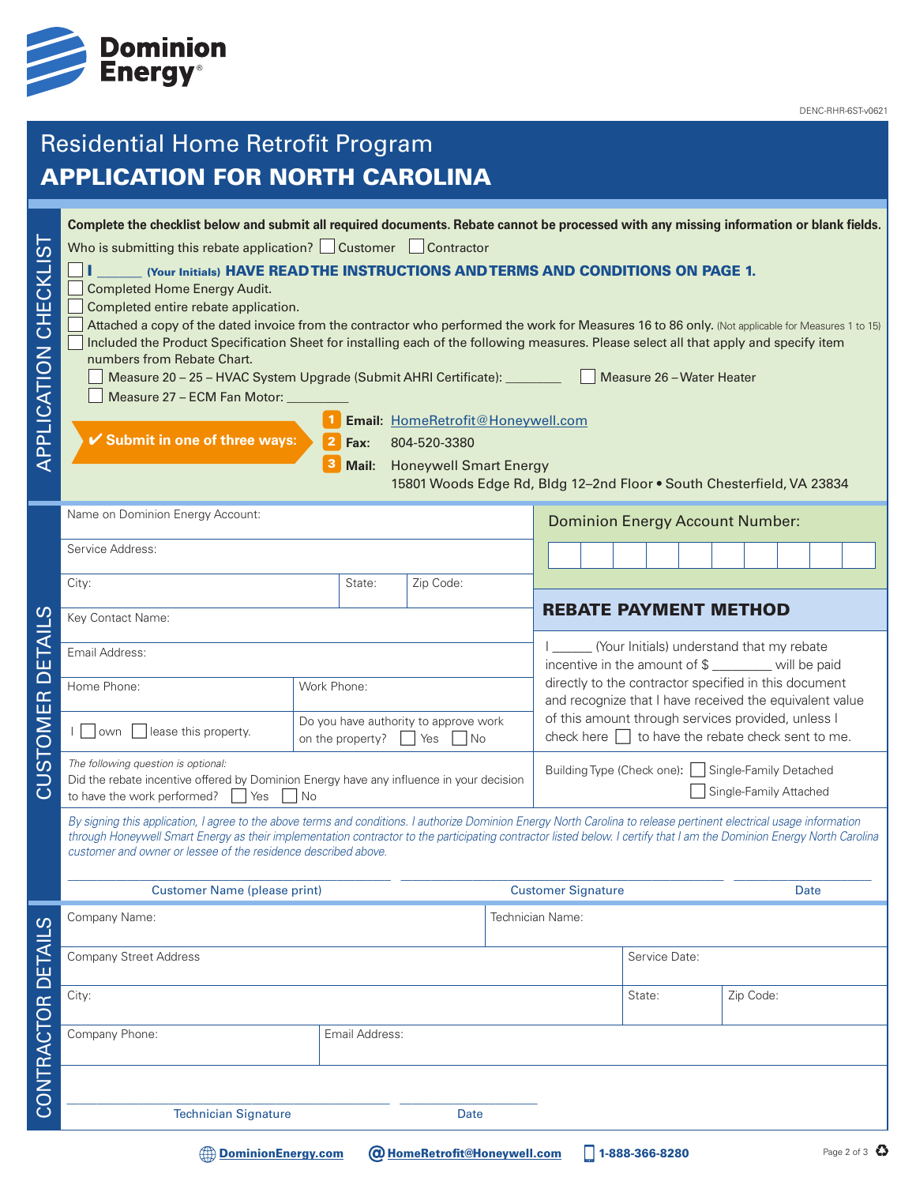

# Residential Home Retrofit Program APPLICATION FOR NORTH CAROLINA

| .<br>()<br><b>CKLI</b><br>APPLICATION CHE | Complete the checklist below and submit all required documents. Rebate cannot be processed with any missing information or blank fields.<br>Who is submitting this rebate application? $\Box$ Customer $\Box$ Contractor<br>(Your Initials) HAVE READ THE INSTRUCTIONS AND TERMS AND CONDITIONS ON PAGE 1.<br><b>Completed Home Energy Audit.</b><br>Completed entire rebate application.<br>Attached a copy of the dated invoice from the contractor who performed the work for Measures 16 to 86 only. (Not applicable for Measures 1 to 15)<br>Included the Product Specification Sheet for installing each of the following measures. Please select all that apply and specify item<br>numbers from Rebate Chart.<br>Measure 20 - 25 - HVAC System Upgrade (Submit AHRI Certificate): _________<br>Measure 27 - ECM Fan Motor:<br>✔ Submit in one of three ways: | $\overline{2}$<br>Fax:<br>Mail:                                                                 | Email: HomeRetrofit@Honeywell.com<br>804-520-3380<br><b>Honeywell Smart Energy</b><br>15801 Woods Edge Rd, Bldg 12-2nd Floor . South Chesterfield, VA 23834 |               |                                                                                                                                                                                                                                  |                                                                               |                |  | Measure 26 - Water Heater |      |           |  |             |
|-------------------------------------------|----------------------------------------------------------------------------------------------------------------------------------------------------------------------------------------------------------------------------------------------------------------------------------------------------------------------------------------------------------------------------------------------------------------------------------------------------------------------------------------------------------------------------------------------------------------------------------------------------------------------------------------------------------------------------------------------------------------------------------------------------------------------------------------------------------------------------------------------------------------------|-------------------------------------------------------------------------------------------------|-------------------------------------------------------------------------------------------------------------------------------------------------------------|---------------|----------------------------------------------------------------------------------------------------------------------------------------------------------------------------------------------------------------------------------|-------------------------------------------------------------------------------|----------------|--|---------------------------|------|-----------|--|-------------|
|                                           | Name on Dominion Energy Account:                                                                                                                                                                                                                                                                                                                                                                                                                                                                                                                                                                                                                                                                                                                                                                                                                                     |                                                                                                 |                                                                                                                                                             |               | <b>Dominion Energy Account Number:</b>                                                                                                                                                                                           |                                                                               |                |  |                           |      |           |  |             |
|                                           | Service Address:                                                                                                                                                                                                                                                                                                                                                                                                                                                                                                                                                                                                                                                                                                                                                                                                                                                     |                                                                                                 |                                                                                                                                                             |               |                                                                                                                                                                                                                                  |                                                                               |                |  |                           |      |           |  |             |
|                                           | City:                                                                                                                                                                                                                                                                                                                                                                                                                                                                                                                                                                                                                                                                                                                                                                                                                                                                | State:                                                                                          | Zip Code:                                                                                                                                                   |               |                                                                                                                                                                                                                                  |                                                                               |                |  |                           |      |           |  |             |
|                                           | Key Contact Name:                                                                                                                                                                                                                                                                                                                                                                                                                                                                                                                                                                                                                                                                                                                                                                                                                                                    |                                                                                                 |                                                                                                                                                             |               |                                                                                                                                                                                                                                  | <b>REBATE PAYMENT METHOD</b>                                                  |                |  |                           |      |           |  |             |
| ய                                         | Email Address:                                                                                                                                                                                                                                                                                                                                                                                                                                                                                                                                                                                                                                                                                                                                                                                                                                                       |                                                                                                 |                                                                                                                                                             |               | (Your Initials) understand that my rebate<br>incentive in the amount of \$ _______ will be paid                                                                                                                                  |                                                                               |                |  |                           |      |           |  |             |
| $\overline{\phantom{0}}$                  | Home Phone:                                                                                                                                                                                                                                                                                                                                                                                                                                                                                                                                                                                                                                                                                                                                                                                                                                                          | Work Phone:<br>Do you have authority to approve work<br>on the property?<br>Yes<br>1 No         |                                                                                                                                                             |               | directly to the contractor specified in this document<br>and recognize that I have received the equivalent value<br>of this amount through services provided, unless I<br>check here $\Box$ to have the rebate check sent to me. |                                                                               |                |  |                           |      |           |  |             |
| STOMER                                    | lease this property.<br>l lown                                                                                                                                                                                                                                                                                                                                                                                                                                                                                                                                                                                                                                                                                                                                                                                                                                       |                                                                                                 |                                                                                                                                                             |               |                                                                                                                                                                                                                                  |                                                                               |                |  |                           |      |           |  |             |
| <u>ನ</u>                                  | The following question is optional:<br>to have the work performed?<br>Yes                                                                                                                                                                                                                                                                                                                                                                                                                                                                                                                                                                                                                                                                                                                                                                                            | Did the rebate incentive offered by Dominion Energy have any influence in your decision<br>l No |                                                                                                                                                             |               |                                                                                                                                                                                                                                  | Building Type (Check one):   Single-Family Detached<br>Single-Family Attached |                |  |                           |      |           |  |             |
|                                           | By signing this application, I agree to the above terms and conditions. I authorize Dominion Energy North Carolina to release pertinent electrical usage information<br>through Honeywell Smart Energy as their implementation contractor to the participating contractor listed below. I certify that I am the Dominion Energy North Carolina<br>customer and owner or lessee of the residence described above.                                                                                                                                                                                                                                                                                                                                                                                                                                                     |                                                                                                 |                                                                                                                                                             |               |                                                                                                                                                                                                                                  |                                                                               |                |  |                           |      |           |  |             |
|                                           | <b>Customer Name (please print)</b>                                                                                                                                                                                                                                                                                                                                                                                                                                                                                                                                                                                                                                                                                                                                                                                                                                  |                                                                                                 |                                                                                                                                                             |               | <b>Customer Signature</b>                                                                                                                                                                                                        |                                                                               |                |  |                           | Date |           |  |             |
|                                           | Company Name:                                                                                                                                                                                                                                                                                                                                                                                                                                                                                                                                                                                                                                                                                                                                                                                                                                                        |                                                                                                 |                                                                                                                                                             |               | Technician Name:                                                                                                                                                                                                                 |                                                                               |                |  |                           |      |           |  |             |
|                                           | <b>Company Street Address</b>                                                                                                                                                                                                                                                                                                                                                                                                                                                                                                                                                                                                                                                                                                                                                                                                                                        |                                                                                                 |                                                                                                                                                             | Service Date: |                                                                                                                                                                                                                                  |                                                                               |                |  |                           |      |           |  |             |
|                                           | City:                                                                                                                                                                                                                                                                                                                                                                                                                                                                                                                                                                                                                                                                                                                                                                                                                                                                |                                                                                                 |                                                                                                                                                             |               |                                                                                                                                                                                                                                  |                                                                               | State:         |  |                           |      | Zip Code: |  |             |
| CONTRACTOR DETAILS                        | Company Phone:                                                                                                                                                                                                                                                                                                                                                                                                                                                                                                                                                                                                                                                                                                                                                                                                                                                       | Email Address:                                                                                  |                                                                                                                                                             |               |                                                                                                                                                                                                                                  |                                                                               |                |  |                           |      |           |  |             |
|                                           |                                                                                                                                                                                                                                                                                                                                                                                                                                                                                                                                                                                                                                                                                                                                                                                                                                                                      |                                                                                                 |                                                                                                                                                             |               |                                                                                                                                                                                                                                  |                                                                               |                |  |                           |      |           |  |             |
|                                           | <b>Technician Signature</b>                                                                                                                                                                                                                                                                                                                                                                                                                                                                                                                                                                                                                                                                                                                                                                                                                                          |                                                                                                 | Date                                                                                                                                                        |               |                                                                                                                                                                                                                                  |                                                                               |                |  |                           |      |           |  |             |
|                                           | <b>DominionEnergy.com</b>                                                                                                                                                                                                                                                                                                                                                                                                                                                                                                                                                                                                                                                                                                                                                                                                                                            |                                                                                                 | <b>@ HomeRetrofit@Honeywell.com</b>                                                                                                                         |               |                                                                                                                                                                                                                                  |                                                                               | 1-888-366-8280 |  |                           |      |           |  | Page 2 of 3 |